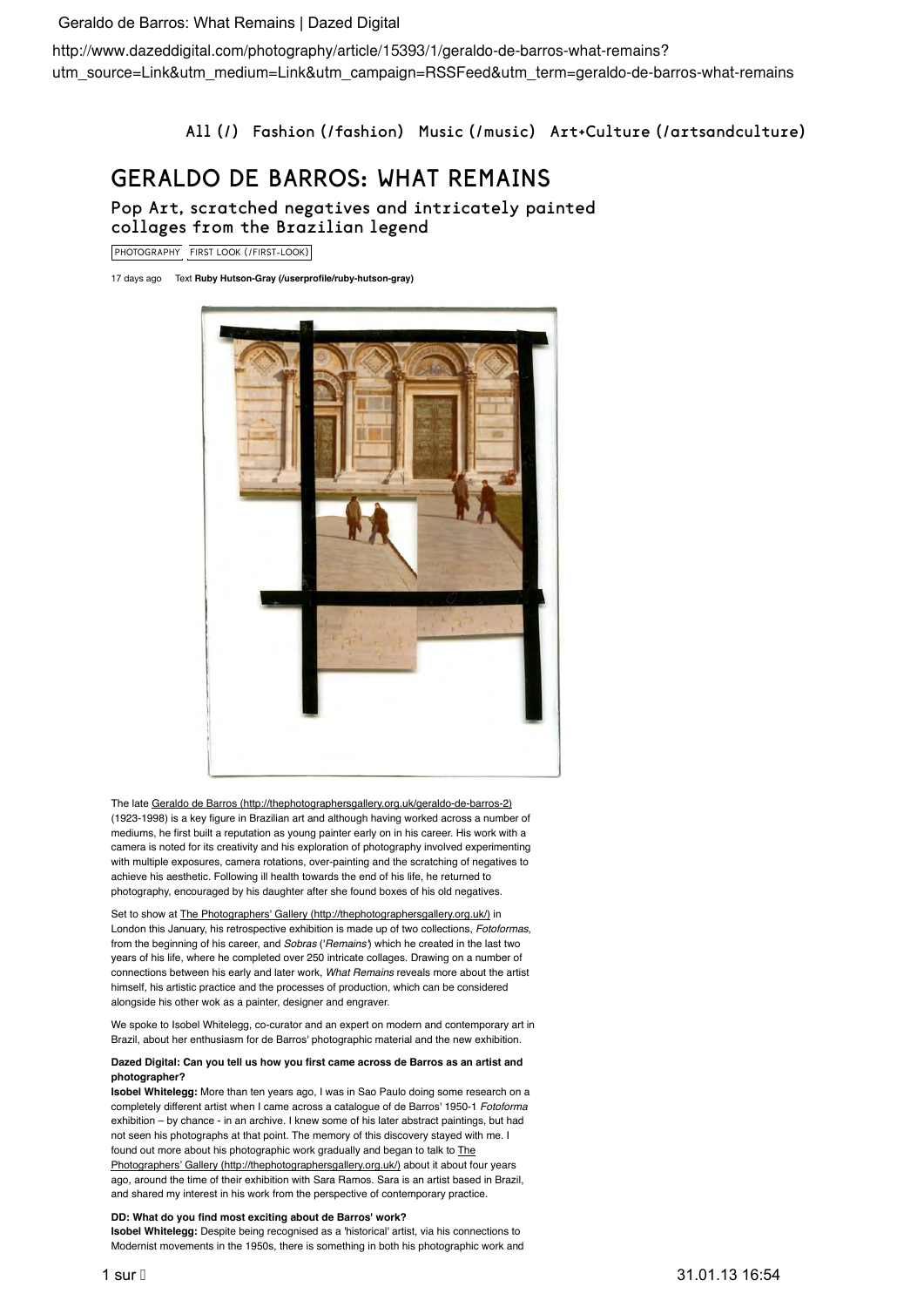## Geraldo de Barros: What Remains | Dazed Digital

utm\_source=Link&utm\_medium=Link&utm\_campaign=RSSFeed&utm\_term=geraldo-de-barros-what-remains

All (/) Fashion (/fashion) Music (/music) Art+Culture (/artsandculture)

# GERALDO DE BARROS: WHAT REMAINS

Pop Art, scratched negatives and intricately painted collages from the Brazilian legend

PHOTOGRAPHY FIRST LOOK (/FIRST-LOOK)

17 days ago Text **Ruby Hutson-Gray (/userprofile/ruby-hutson-gray)**



The late Geraldo de Barros (http://thephotographersgallery.org.uk/geraldo-de-barros-2) (1923-1998) is a key figure in Brazilian art and although having worked across a number of mediums, he first built a reputation as young painter early on in his career. His work with a camera is noted for its creativity and his exploration of photography involved experimenting with multiple exposures, camera rotations, over-painting and the scratching of negatives to achieve his aesthetic. Following ill health towards the end of his life, he returned to photography, encouraged by his daughter after she found boxes of his old negatives.

Set to show at The Photographers' Gallery (http://thephotographersgallery.org.uk/) in London this January, his retrospective exhibition is made up of two collections, *Fotoformas*, from the beginning of his career, and *Sobras* ('*Remains'*) which he created in the last two years of his life, where he completed over 250 intricate collages. Drawing on a number of connections between his early and later work, *What Remains* reveals more about the artist himself, his artistic practice and the processes of production, which can be considered alongside his other wok as a painter, designer and engraver.

We spoke to Isobel Whitelegg, co-curator and an expert on modern and contemporary art in Brazil, about her enthusiasm for de Barros' photographic material and the new exhibition.

#### **Dazed Digital: Can you tell us how you first came across de Barros as an artist and photographer?**

**Isobel Whitelegg:** More than ten years ago, I was in Sao Paulo doing some research on a completely different artist when I came across a catalogue of de Barros' 1950-1 *Fotoforma* exhibition – by chance - in an archive. I knew some of his later abstract paintings, but had not seen his photographs at that point. The memory of this discovery stayed with me. I found out more about his photographic work gradually and began to talk to The Photographers' Gallery (http://thephotographersgallery.org.uk/) about it about four years ago, around the time of their exhibition with Sara Ramos. Sara is an artist based in Brazil, and shared my interest in his work from the perspective of contemporary practice.

### **DD: What do you find most exciting about de Barros' work?**

**Isobel Whitelegg:** Despite being recognised as a 'historical' artist, via his connections to Modernist movements in the 1950s, there is something in both his photographic work and